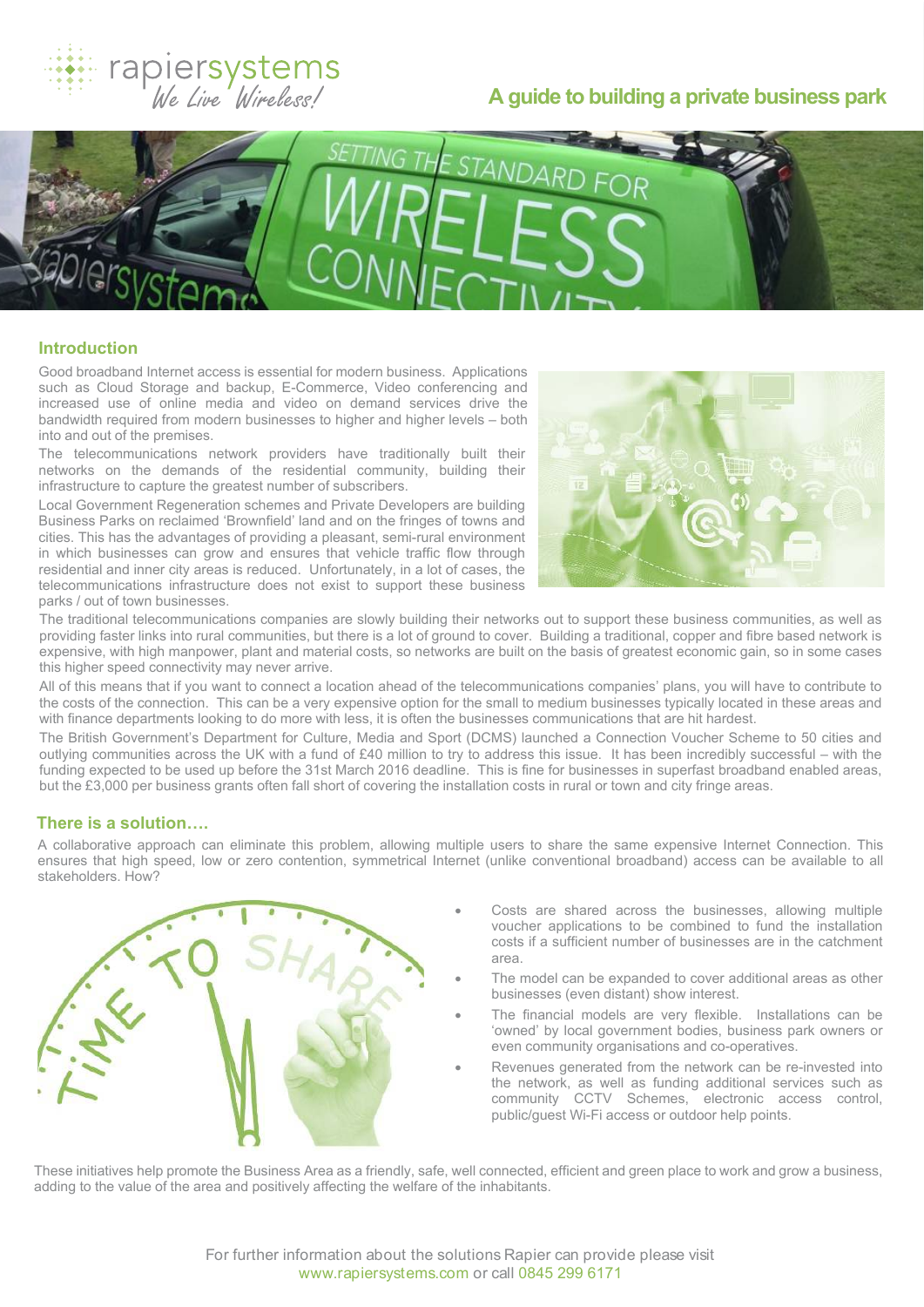

# **A guide to building a private business park**



## **Introduction**

Good broadband Internet access is essential for modern business. Applications such as Cloud Storage and backup, E-Commerce, Video conferencing and increased use of online media and video on demand services drive the bandwidth required from modern businesses to higher and higher levels – both into and out of the premises.

The telecommunications network providers have traditionally built their networks on the demands of the residential community, building their infrastructure to capture the greatest number of subscribers.

Local Government Regeneration schemes and Private Developers are building Business Parks on reclaimed 'Brownfield' land and on the fringes of towns and cities. This has the advantages of providing a pleasant, semi-rural environment in which businesses can grow and ensures that vehicle traffic flow through residential and inner city areas is reduced. Unfortunately, in a lot of cases, the telecommunications infrastructure does not exist to support these business parks / out of town businesses.



The traditional telecommunications companies are slowly building their networks out to support these business communities, as well as providing faster links into rural communities, but there is a lot of ground to cover. Building a traditional, copper and fibre based network is expensive, with high manpower, plant and material costs, so networks are built on the basis of greatest economic gain, so in some cases this higher speed connectivity may never arrive.

All of this means that if you want to connect a location ahead of the telecommunications companies' plans, you will have to contribute to the costs of the connection. This can be a very expensive option for the small to medium businesses typically located in these areas and with finance departments looking to do more with less, it is often the businesses communications that are hit hardest.

The British Government's Department for Culture, Media and Sport (DCMS) launched a Connection Voucher Scheme to 50 cities and outlying communities across the UK with a fund of £40 million to try to address this issue. It has been incredibly successful – with the funding expected to be used up before the 31st March 2016 deadline. This is fine for businesses in superfast broadband enabled areas, but the £3,000 per business grants often fall short of covering the installation costs in rural or town and city fringe areas.

## **There is a solution….**

A collaborative approach can eliminate this problem, allowing multiple users to share the same expensive Internet Connection. This ensures that high speed, low or zero contention, symmetrical Internet (unlike conventional broadband) access can be available to all stakeholders. How?



- Costs are shared across the businesses, allowing multiple voucher applications to be combined to fund the installation costs if a sufficient number of businesses are in the catchment area.
- The model can be expanded to cover additional areas as other businesses (even distant) show interest.
- The financial models are very flexible. Installations can be 'owned' by local government bodies, business park owners or even community organisations and co-operatives.
- Revenues generated from the network can be re-invested into the network, as well as funding additional services such as community CCTV Schemes, electronic access control, public/guest Wi-Fi access or outdoor help points.

These initiatives help promote the Business Area as a friendly, safe, well connected, efficient and green place to work and grow a business, adding to the value of the area and positively affecting the welfare of the inhabitants.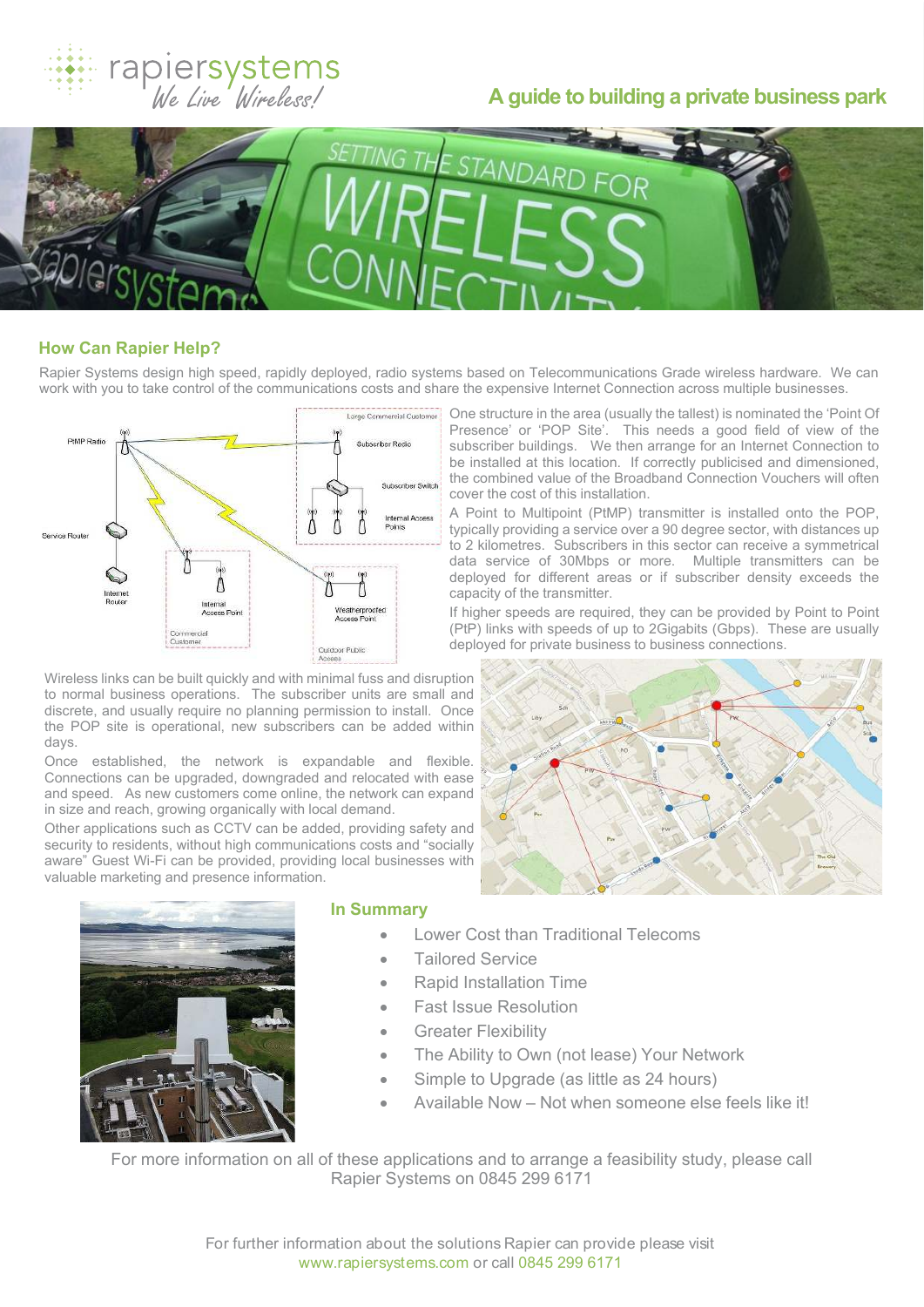

# **A guide to building a private business park**



## **How Can Rapier Help?**

Rapier Systems design high speed, rapidly deployed, radio systems based on Telecommunications Grade wireless hardware. We can work with you to take control of the communications costs and share the expensive Internet Connection across multiple businesses.



Wireless links can be built quickly and with minimal fuss and disruption to normal business operations. The subscriber units are small and discrete, and usually require no planning permission to install. Once the POP site is operational, new subscribers can be added within days.

Once established, the network is expandable and flexible. Connections can be upgraded, downgraded and relocated with ease and speed. As new customers come online, the network can expand in size and reach, growing organically with local demand.

Other applications such as CCTV can be added, providing safety and security to residents, without high communications costs and "socially aware" Guest Wi-Fi can be provided, providing local businesses with valuable marketing and presence information.

One structure in the area (usually the tallest) is nominated the 'Point Of Presence' or 'POP Site'. This needs a good field of view of the subscriber buildings. We then arrange for an Internet Connection to be installed at this location. If correctly publicised and dimensioned, the combined value of the Broadband Connection Vouchers will often cover the cost of this installation.

A Point to Multipoint (PtMP) transmitter is installed onto the POP, typically providing a service over a 90 degree sector, with distances up to 2 kilometres. Subscribers in this sector can receive a symmetrical data service of 30Mbps or more. Multiple transmitters can be deployed for different areas or if subscriber density exceeds the capacity of the transmitter.

If higher speeds are required, they can be provided by Point to Point (PtP) links with speeds of up to 2Gigabits (Gbps). These are usually deployed for private business to business connections.





#### **In Summary**

- · Lower Cost than Traditional Telecoms
- **Tailored Service**
- · Rapid Installation Time
- **Fast Issue Resolution**
- · Greater Flexibility
- · The Ability to Own (not lease) Your Network
- Simple to Upgrade (as little as 24 hours)
- Available Now Not when someone else feels like it!

For more information on all of these applications and to arrange a feasibility study, please call Rapier Systems on 0845 299 6171